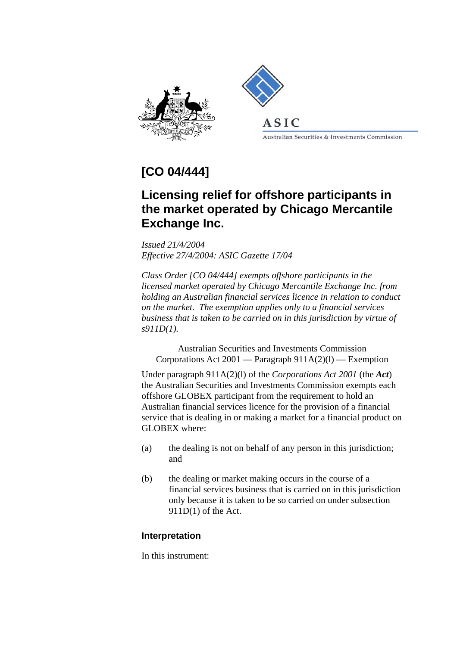



ASIC

Australian Securities & Investments Commission

## **[CO 04/444]**

## **Licensing relief for offshore participants in the market operated by Chicago Mercantile Exchange Inc.**

*Issued 21/4/2004 Effective 27/4/2004: ASIC Gazette 17/04* 

*Class Order [CO 04/444] exempts offshore participants in the licensed market operated by Chicago Mercantile Exchange Inc. from holding an Australian financial services licence in relation to conduct on the market. The exemption applies only to a financial services business that is taken to be carried on in this jurisdiction by virtue of s911D(1).*

Australian Securities and Investments Commission Corporations Act 2001 — Paragraph 911A(2)(l) — Exemption

Under paragraph 911A(2)(l) of the *Corporations Act 2001* (the *Act*) the Australian Securities and Investments Commission exempts each offshore GLOBEX participant from the requirement to hold an Australian financial services licence for the provision of a financial service that is dealing in or making a market for a financial product on GLOBEX where:

- (a) the dealing is not on behalf of any person in this jurisdiction; and
- (b) the dealing or market making occurs in the course of a financial services business that is carried on in this jurisdiction only because it is taken to be so carried on under subsection 911D(1) of the Act.

## **Interpretation**

In this instrument: